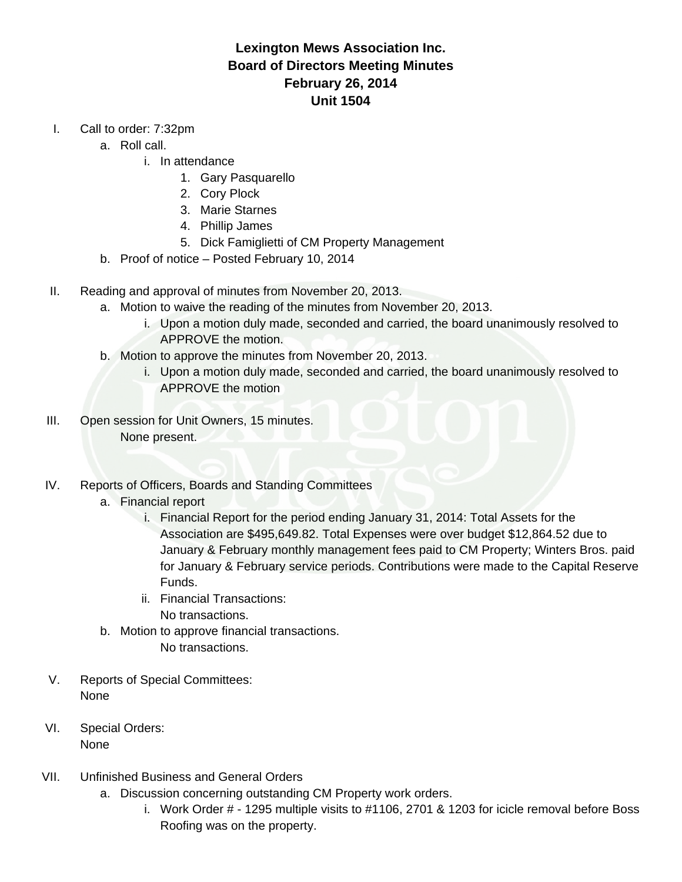## **Lexington Mews Association Inc. Board of Directors Meeting Minutes February 26, 2014 Unit 1504**

- I. Call to order: 7:32pm
	- a. Roll call.
		- i. In attendance
			- 1. Gary Pasquarello
			- 2. Cory Plock
			- 3. Marie Starnes
			- 4. Phillip James
			- 5. Dick Famiglietti of CM Property Management
	- b. Proof of notice Posted February 10, 2014
- II. Reading and approval of minutes from November 20, 2013.
	- a. Motion to waive the reading of the minutes from November 20, 2013.
		- i. Upon a motion duly made, seconded and carried, the board unanimously resolved to APPROVE the motion.
	- b. Motion to approve the minutes from November 20, 2013.
		- i. Upon a motion duly made, seconded and carried, the board unanimously resolved to APPROVE the motion
- III. Open session for Unit Owners, 15 minutes. None present.
- IV. Reports of Officers, Boards and Standing Committees
	- a. Financial report
		- i. Financial Report for the period ending January 31, 2014: Total Assets for the Association are \$495,649.82. Total Expenses were over budget \$12,864.52 due to January & February monthly management fees paid to CM Property; Winters Bros. paid for January & February service periods. Contributions were made to the Capital Reserve Funds.
		- ii. Financial Transactions: No transactions.
	- b. Motion to approve financial transactions. No transactions.
- V. Reports of Special Committees: None
- VI. Special Orders: None
- VII. Unfinished Business and General Orders
	- a. Discussion concerning outstanding CM Property work orders.
		- i. Work Order # 1295 multiple visits to #1106, 2701 & 1203 for icicle removal before Boss Roofing was on the property.